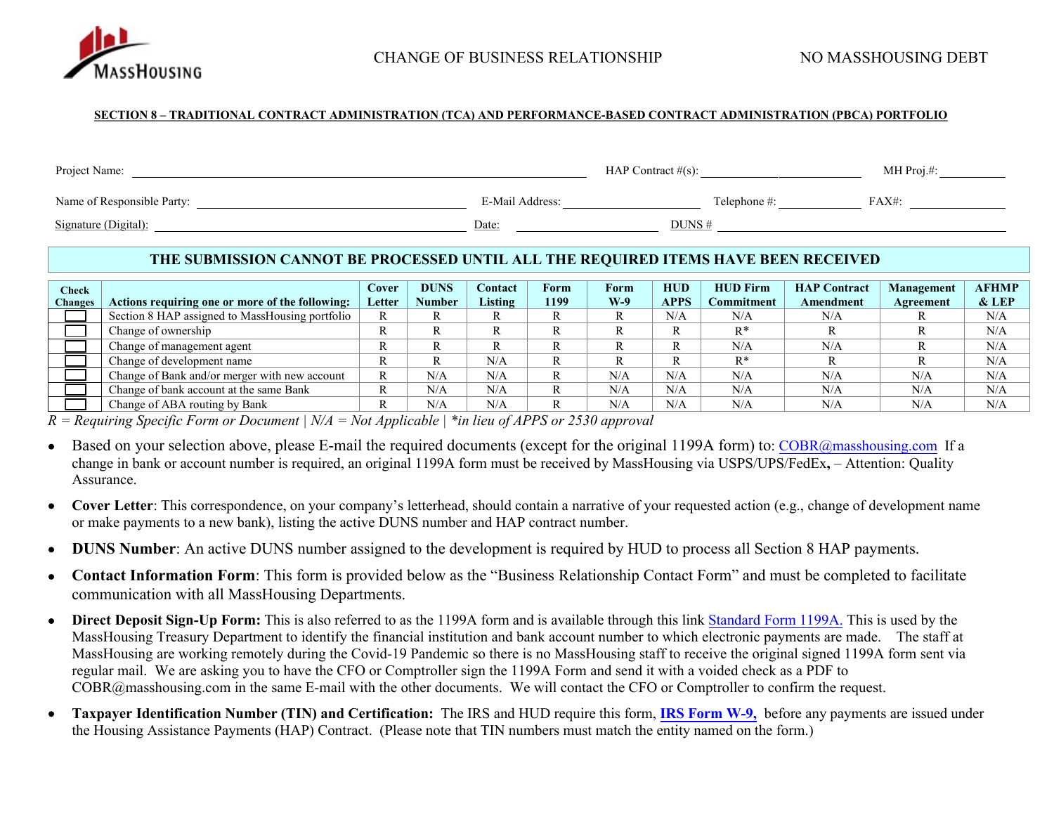

#### **SECTION 8 – TRADITIONAL CONTRACT ADMINISTRATION (TCA) AND PERFORMANCE-BASED CONTRACT ADMINISTRATION (PBCA) PORTFOLIO**

| Project Name:              |                 | HAP Contract $\#(s)$ : |              | MH $Proj. #:$ |
|----------------------------|-----------------|------------------------|--------------|---------------|
| Name of Responsible Party: | E-Mail Address: |                        | Telephone #: | $FAX#$ :      |
| Signature (Digital):       | Date:           | DUNS#                  |              |               |

#### **THE SUBMISSION CANNOT BE PROCESSED UNTIL ALL THE REQUIRED ITEMS HAVE BEEN RECEIVED**

| Check<br>Changes | Actions requiring one or more of the following: | Cover<br>Letter | <b>DUNS</b><br><b>Number</b> | <b>Contact</b><br>Listing | Form<br>1199 | Form<br>W-9 | <b>HUD</b><br><b>APPS</b> | <b>HUD Firm</b><br>Commitment | <b>HAP Contract</b><br><b>Amendment</b> | Management<br>Agreement | <b>AFHMP</b><br>$&$ LEP |
|------------------|-------------------------------------------------|-----------------|------------------------------|---------------------------|--------------|-------------|---------------------------|-------------------------------|-----------------------------------------|-------------------------|-------------------------|
|                  | Section 8 HAP assigned to MassHousing portfolio | R               |                              |                           |              |             | N/A                       | N/A                           | N/A                                     |                         | N/A                     |
|                  | Change of ownership                             | n               | R                            |                           |              | R           |                           | $\mathbf{p} *$                |                                         |                         | N/A                     |
|                  | Change of management agent                      | R               | R                            | R                         |              | R           | D                         | N/A                           | N/A                                     |                         | N/A                     |
|                  | Change of development name                      | R               | D                            | N/A                       |              |             | D                         | $R^*$                         |                                         |                         | N/A                     |
|                  | Change of Bank and/or merger with new account   | R               | N/A                          | N/A                       |              | N/A         | N/A                       | N/A                           | N/A                                     | N/A                     | N/A                     |
|                  | Change of bank account at the same Bank         | R               | N/A                          | N/A                       |              | N/A         | N/A                       | N/A                           | N/A                                     | N/A                     | N/A                     |
|                  | Change of ABA routing by Bank                   |                 | N/A                          | N/A                       |              | N/A         | N/A                       | N/A                           | N/A                                     | N/A                     | N/A                     |

*R = Requiring Specific Form or Document | N/A = Not Applicable | \*in lieu of APPS or 2530 approval* 

- Based on your selection above, please E-mail the required documents (except for the original 1199A form) to: [COBR@masshousing.com](mailto:COBR@masshousing.com) If a change in bank or account number is required, an original 1199A form must be received by MassHousing via USPS/UPS/FedEx**,** – Attention: Quality Assurance.
- **Cover Letter**: This correspondence, on your company's letterhead, should contain a narrative of your requested action (e.g., change of development name or make payments to a new bank), listing the active DUNS number and HAP contract number.
- **DUNS Number**: An active DUNS number assigned to the development is required by HUD to process all Section 8 HAP payments.
- **Contact Information Form**: This form is provided below as the "Business Relationship Contact Form" and must be completed to facilitate communication with all MassHousing Departments.
- **Direct Deposit Sign-Up Form:** This is also referred to as the 1199A form and is available through this link [Standard Form 1199A.](https://www.gsa.gov/portal/forms/download/115702) This is used by the MassHousing Treasury Department to identify the financial institution and bank account number to which electronic payments are made. The staff at MassHousing are working remotely during the Covid-19 Pandemic so there is no MassHousing staff to receive the original signed 1199A form sent via regular mail. We are asking you to have the CFO or Comptroller sign the 1199A Form and send it with a voided check as a PDF to COBR@masshousing.com in the same E-mail with the other documents. We will contact the CFO or Comptroller to confirm the request.
- **Taxpayer Identification Number (TIN) and Certification:** The IRS and HUD require this form, **[IRS Form W-9,](https://www.irs.gov/pub/irs-pdf/fw9.pdf)** before any payments are issued under the Housing Assistance Payments (HAP) Contract. (Please note that TIN numbers must match the entity named on the form.)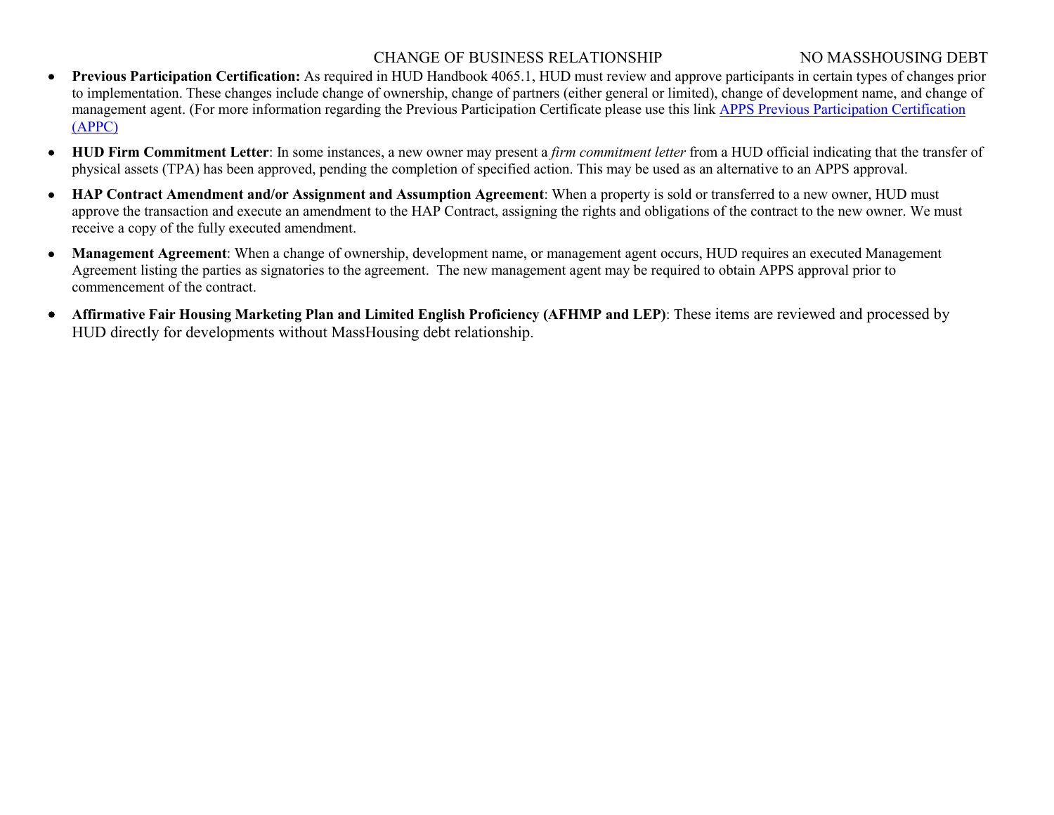### CHANGE OF BUSINESS RELATIONSHIP NO MASSHOUSING DEBT

- **Previous Participation Certification:** As required in HUD Handbook 4065.1, HUD must review and approve participants in certain types of changes prior to implementation. These changes include change of ownership, change of partners (either general or limited), change of development name, and change of management agent. (For more information regarding the Previous Participation Certificate please use this link [APPS Previous Participation Certification](http://portal.hud.gov/hudportal/HUD?src=/program_offices/housing/mfh/apps/appsmfhm)  [\(APPC\)](http://portal.hud.gov/hudportal/HUD?src=/program_offices/housing/mfh/apps/appsmfhm)
- **HUD Firm Commitment Letter**: In some instances, a new owner may present a *firm commitment letter* from a HUD official indicating that the transfer of physical assets (TPA) has been approved, pending the completion of specified action. This may be used as an alternative to an APPS approval.
- **HAP Contract Amendment and/or Assignment and Assumption Agreement**: When a property is sold or transferred to a new owner, HUD must approve the transaction and execute an amendment to the HAP Contract, assigning the rights and obligations of the contract to the new owner. We must receive a copy of the fully executed amendment.
- **Management Agreement**: When a change of ownership, development name, or management agent occurs, HUD requires an executed Management Agreement listing the parties as signatories to the agreement. The new management agent may be required to obtain APPS approval prior to commencement of the contract.
- **Affirmative Fair Housing Marketing Plan and Limited English Proficiency (AFHMP and LEP)**: These items are reviewed and processed by HUD directly for developments without MassHousing debt relationship.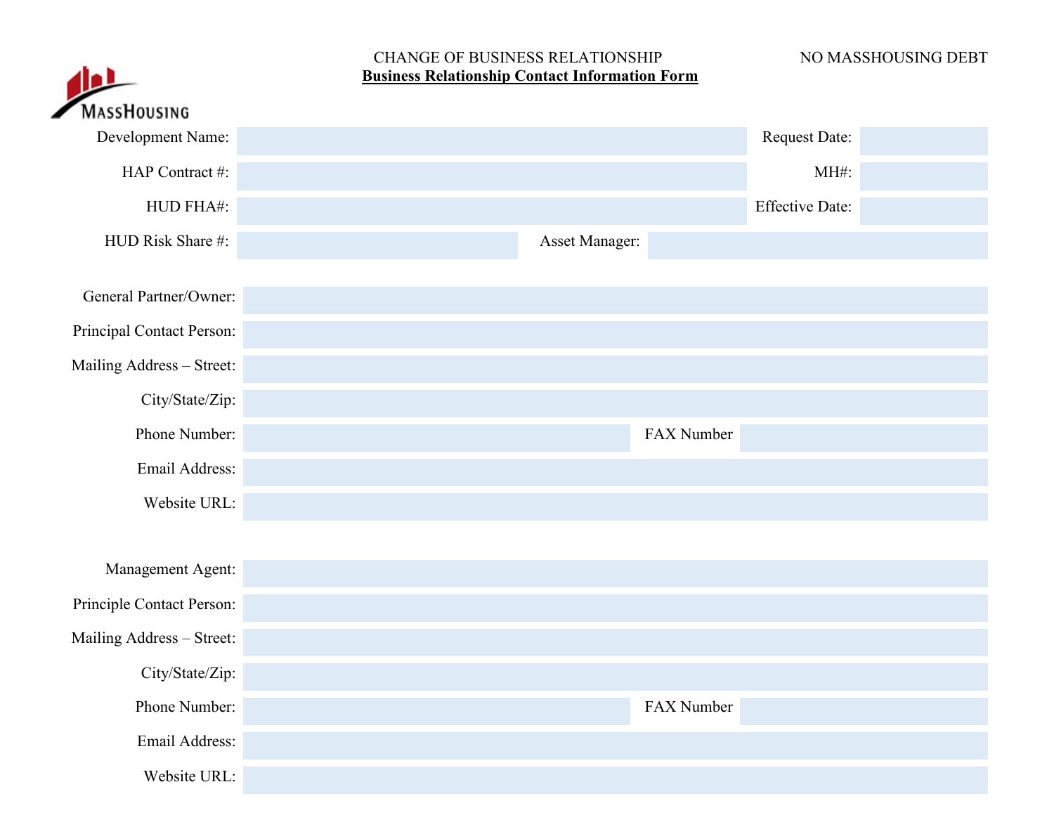## CHANGE OF BUSINESS RELATIONSHIP NO MASSHOUSING DEBT **Business Relationship Contact Information Form**

| ٠D                        | CHARGE OF DODITION REEATHORDHI<br><b>Business Relationship Contact Information Form</b> |                        | 110 MI 199110091110 DLD I |
|---------------------------|-----------------------------------------------------------------------------------------|------------------------|---------------------------|
| <b>MASSHOUSING</b>        |                                                                                         |                        |                           |
| Development Name:         |                                                                                         | <b>Request Date:</b>   |                           |
| HAP Contract #:           |                                                                                         | MH#:                   |                           |
| HUD FHA#:                 |                                                                                         | <b>Effective Date:</b> |                           |
| HUD Risk Share #:         | Asset Manager:                                                                          |                        |                           |
| General Partner/Owner:    |                                                                                         |                        |                           |
| Principal Contact Person: |                                                                                         |                        |                           |
| Mailing Address - Street: |                                                                                         |                        |                           |
| City/State/Zip:           |                                                                                         |                        |                           |
| Phone Number:             | FAX Number                                                                              |                        |                           |
| Email Address:            |                                                                                         |                        |                           |
| Website URL:              |                                                                                         |                        |                           |
|                           |                                                                                         |                        |                           |
| Management Agent:         |                                                                                         |                        |                           |
| Principle Contact Person: |                                                                                         |                        |                           |
| Mailing Address - Street: |                                                                                         |                        |                           |
| City/State/Zip:           |                                                                                         |                        |                           |
| Phone Number:             | FAX Number                                                                              |                        |                           |
| Email Address:            |                                                                                         |                        |                           |
| Website URL:              |                                                                                         |                        |                           |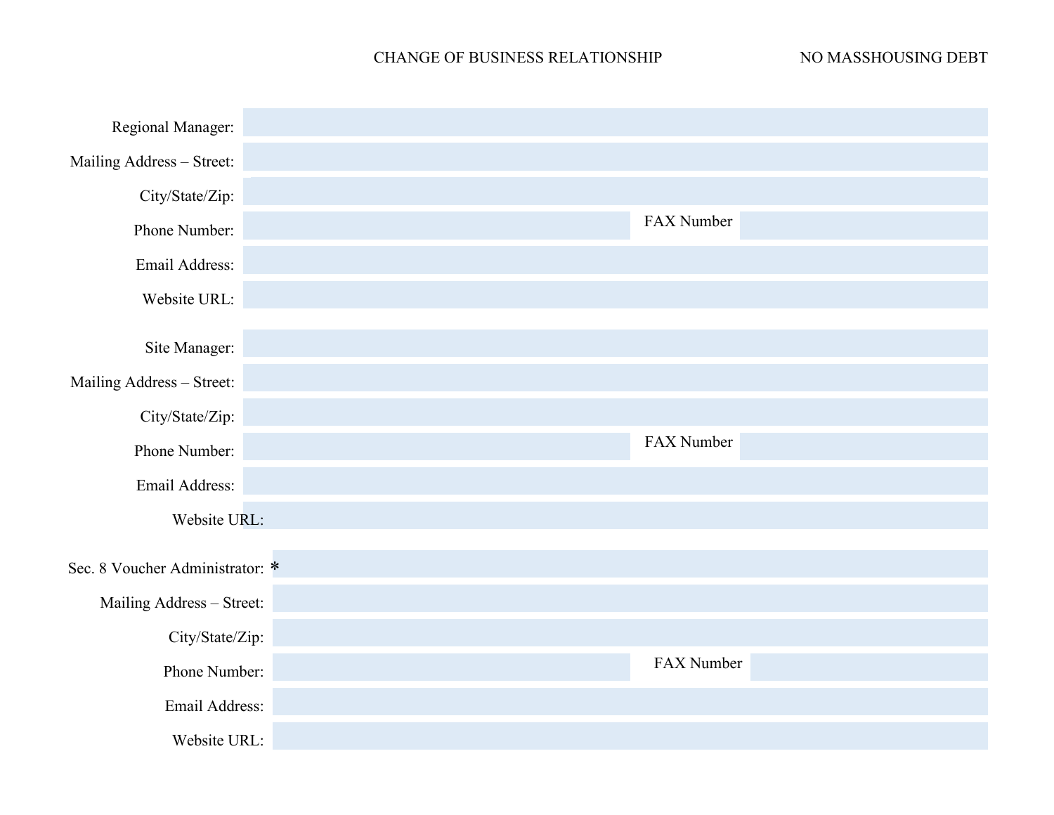# CHANGE OF BUSINESS RELATIONSHIP NO MASSHOUSING DEBT

| Regional Manager:               |            |
|---------------------------------|------------|
| Mailing Address - Street:       |            |
| City/State/Zip:                 |            |
| Phone Number:                   | FAX Number |
| Email Address:                  |            |
| Website URL:                    |            |
| Site Manager:                   |            |
| Mailing Address - Street:       |            |
| City/State/Zip:                 |            |
| Phone Number:                   | FAX Number |
| Email Address:                  |            |
| Website URL:                    |            |
|                                 |            |
| Sec. 8 Voucher Administrator: * |            |
| Mailing Address - Street:       |            |
| City/State/Zip:                 |            |
| Phone Number:                   | FAX Number |
| Email Address:                  |            |
| Website URL:                    |            |